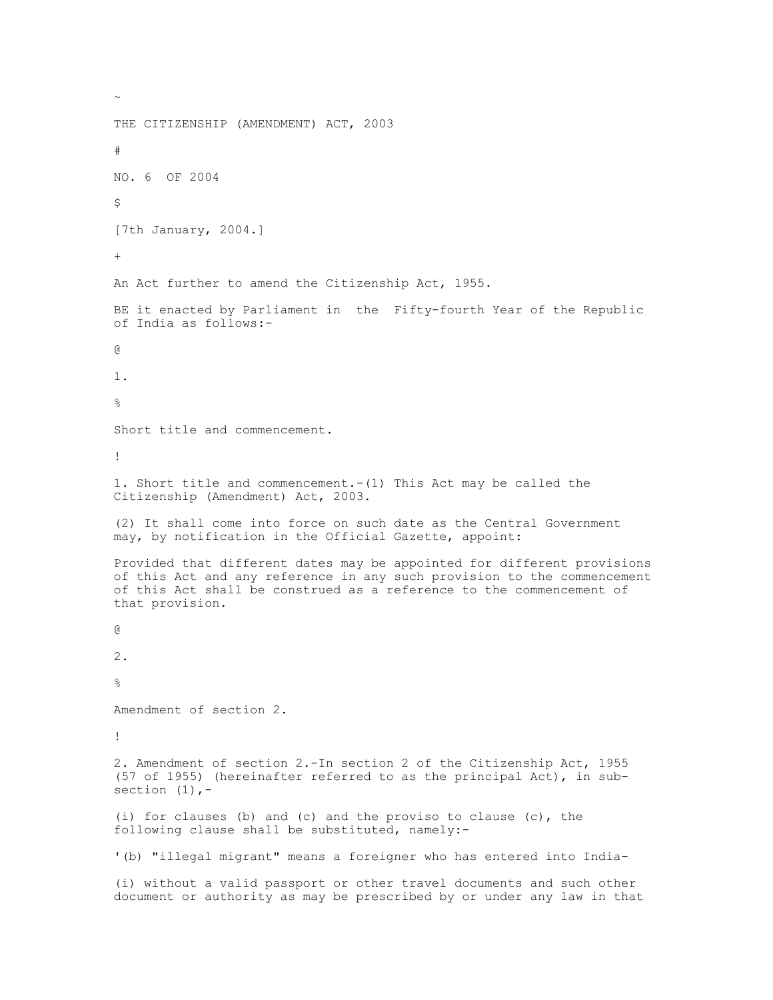THE CITIZENSHIP (AMENDMENT) ACT, 2003 # NO. 6 OF 2004 \$ [7th January, 2004.] + An Act further to amend the Citizenship Act, 1955. BE it enacted by Parliament in the Fifty-fourth Year of the Republic of India as follows:- @ 1.  $\approx$ Short title and commencement. ! 1. Short title and commencement.-(1) This Act may be called the Citizenship (Amendment) Act, 2003. (2) It shall come into force on such date as the Central Government may, by notification in the Official Gazette, appoint: Provided that different dates may be appointed for different provisions of this Act and any reference in any such provision to the commencement of this Act shall be construed as a reference to the commencement of that provision. @ 2.  $\circ$ Amendment of section 2. ! 2. Amendment of section 2.-In section 2 of the Citizenship Act, 1955 (57 of 1955) (hereinafter referred to as the principal Act), in subsection  $(1)$ ,-(i) for clauses (b) and (c) and the proviso to clause (c), the following clause shall be substituted, namely:- '(b) "illegal migrant" means a foreigner who has entered into India- (i) without a valid passport or other travel documents and such other document or authority as may be prescribed by or under any law in that

 $\sim$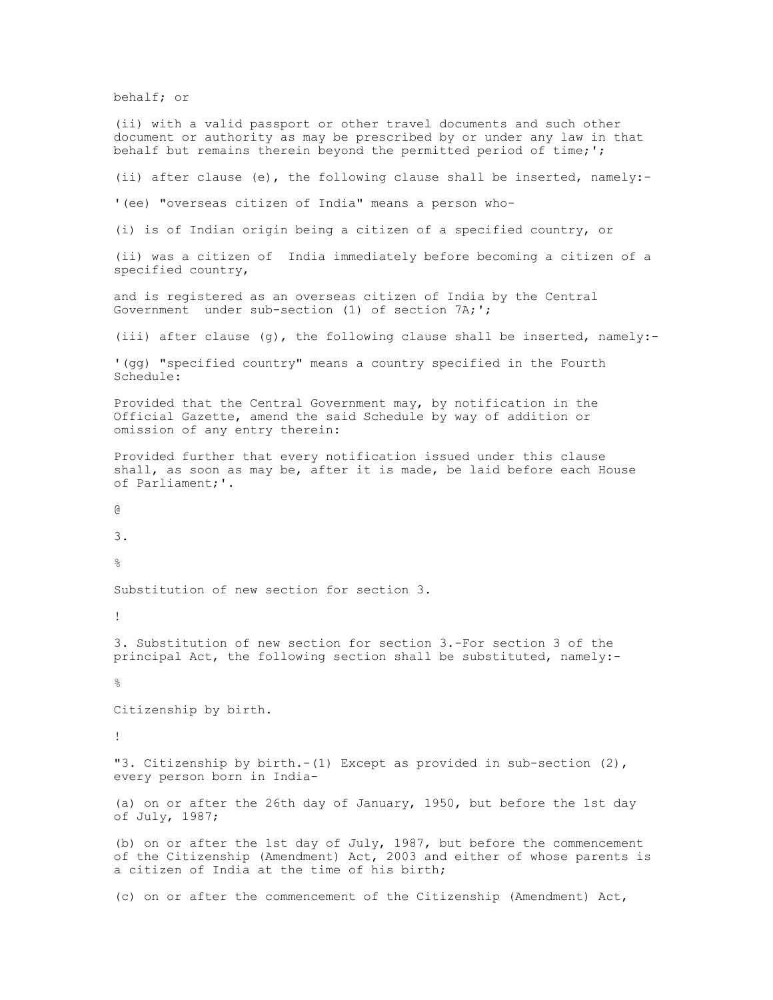behalf; or

(ii) with a valid passport or other travel documents and such other document or authority as may be prescribed by or under any law in that behalf but remains therein beyond the permitted period of time;';

(ii) after clause (e), the following clause shall be inserted, namely:-

'(ee) "overseas citizen of India" means a person who-

(i) is of Indian origin being a citizen of a specified country, or

(ii) was a citizen of India immediately before becoming a citizen of a specified country,

and is registered as an overseas citizen of India by the Central Government under sub-section (1) of section 7A;';

(iii) after clause (g), the following clause shall be inserted, namely:-

'(gg) "specified country" means a country specified in the Fourth Schedule:

Provided that the Central Government may, by notification in the Official Gazette, amend the said Schedule by way of addition or omission of any entry therein:

Provided further that every notification issued under this clause shall, as soon as may be, after it is made, be laid before each House of Parliament;'.

@

3.

 $\approx$ 

Substitution of new section for section 3.

!

3. Substitution of new section for section 3.-For section 3 of the principal Act, the following section shall be substituted, namely:-

%

Citizenship by birth.

!

"3. Citizenship by birth.-(1) Except as provided in sub-section (2), every person born in India-

(a) on or after the 26th day of January, 1950, but before the 1st day of July, 1987;

(b) on or after the 1st day of July, 1987, but before the commencement of the Citizenship (Amendment) Act, 2003 and either of whose parents is a citizen of India at the time of his birth;

(c) on or after the commencement of the Citizenship (Amendment) Act,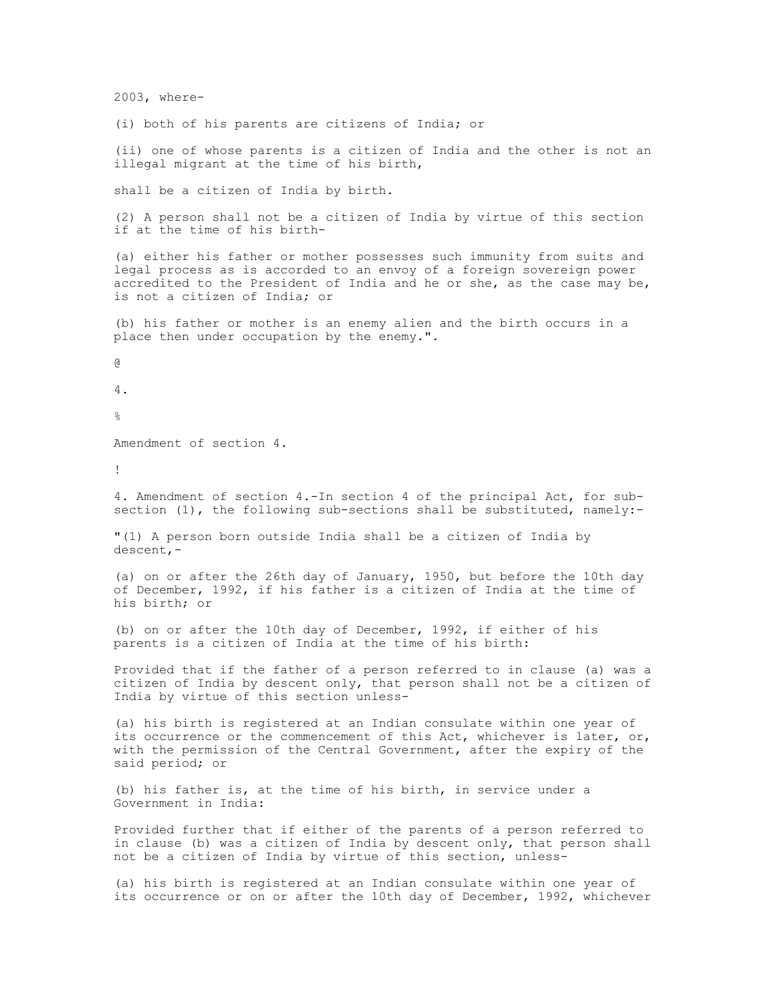2003, where-

(i) both of his parents are citizens of India; or

(ii) one of whose parents is a citizen of India and the other is not an illegal migrant at the time of his birth,

shall be a citizen of India by birth.

(2) A person shall not be a citizen of India by virtue of this section if at the time of his birth-

(a) either his father or mother possesses such immunity from suits and legal process as is accorded to an envoy of a foreign sovereign power accredited to the President of India and he or she, as the case may be, is not a citizen of India; or

(b) his father or mother is an enemy alien and the birth occurs in a place then under occupation by the enemy.".

@

4.

 $\circ$ 

Amendment of section 4.

!

4. Amendment of section 4.-In section 4 of the principal Act, for subsection (1), the following sub-sections shall be substituted, namely:-

"(1) A person born outside India shall be a citizen of India by descent,-

(a) on or after the 26th day of January, 1950, but before the 10th day of December, 1992, if his father is a citizen of India at the time of his birth; or

(b) on or after the 10th day of December, 1992, if either of his parents is a citizen of India at the time of his birth:

Provided that if the father of a person referred to in clause (a) was a citizen of India by descent only, that person shall not be a citizen of India by virtue of this section unless-

(a) his birth is registered at an Indian consulate within one year of its occurrence or the commencement of this Act, whichever is later, or, with the permission of the Central Government, after the expiry of the said period; or

(b) his father is, at the time of his birth, in service under a Government in India:

Provided further that if either of the parents of a person referred to in clause (b) was a citizen of India by descent only, that person shall not be a citizen of India by virtue of this section, unless-

(a) his birth is registered at an Indian consulate within one year of its occurrence or on or after the 10th day of December, 1992, whichever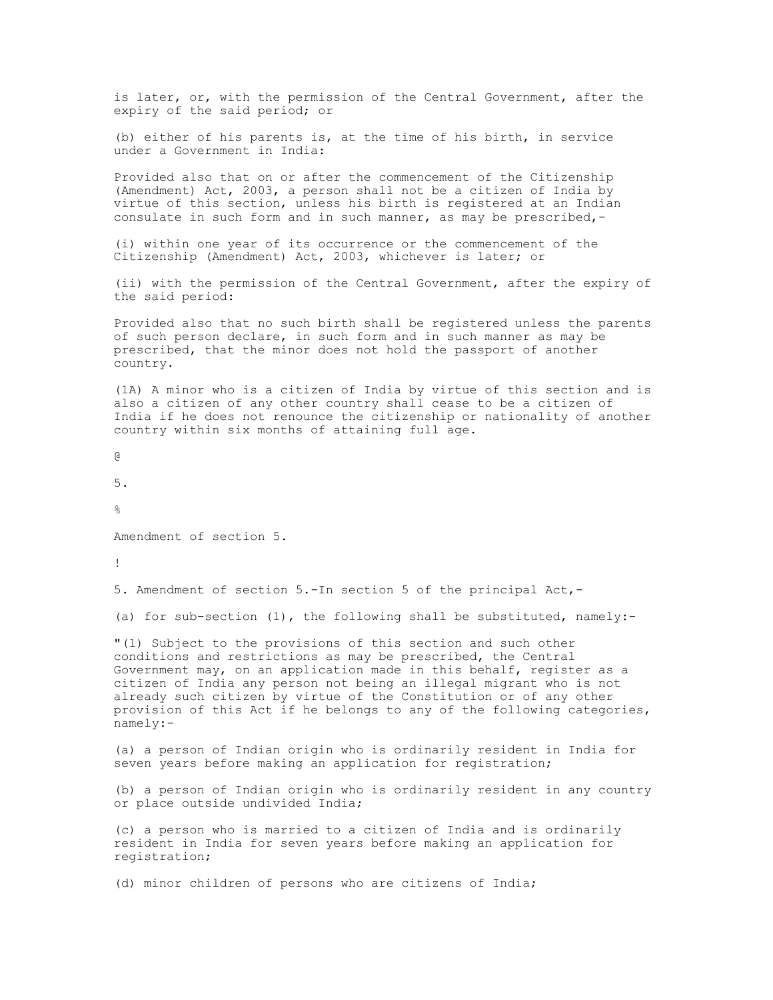is later, or, with the permission of the Central Government, after the expiry of the said period; or

(b) either of his parents is, at the time of his birth, in service under a Government in India:

Provided also that on or after the commencement of the Citizenship (Amendment) Act, 2003, a person shall not be a citizen of India by virtue of this section, unless his birth is registered at an Indian consulate in such form and in such manner, as may be prescribed,-

(i) within one year of its occurrence or the commencement of the Citizenship (Amendment) Act, 2003, whichever is later; or

(ii) with the permission of the Central Government, after the expiry of the said period:

Provided also that no such birth shall be registered unless the parents of such person declare, in such form and in such manner as may be prescribed, that the minor does not hold the passport of another country.

(1A) A minor who is a citizen of India by virtue of this section and is also a citizen of any other country shall cease to be a citizen of India if he does not renounce the citizenship or nationality of another country within six months of attaining full age.

@

5.

 $\approx$ 

Amendment of section 5.

!

5. Amendment of section 5.-In section 5 of the principal Act,-

(a) for sub-section (1), the following shall be substituted, namely:-

"(1) Subject to the provisions of this section and such other conditions and restrictions as may be prescribed, the Central Government may, on an application made in this behalf, register as a citizen of India any person not being an illegal migrant who is not already such citizen by virtue of the Constitution or of any other provision of this Act if he belongs to any of the following categories, namely:-

(a) a person of Indian origin who is ordinarily resident in India for seven years before making an application for registration;

(b) a person of Indian origin who is ordinarily resident in any country or place outside undivided India;

(c) a person who is married to a citizen of India and is ordinarily resident in India for seven years before making an application for registration;

(d) minor children of persons who are citizens of India;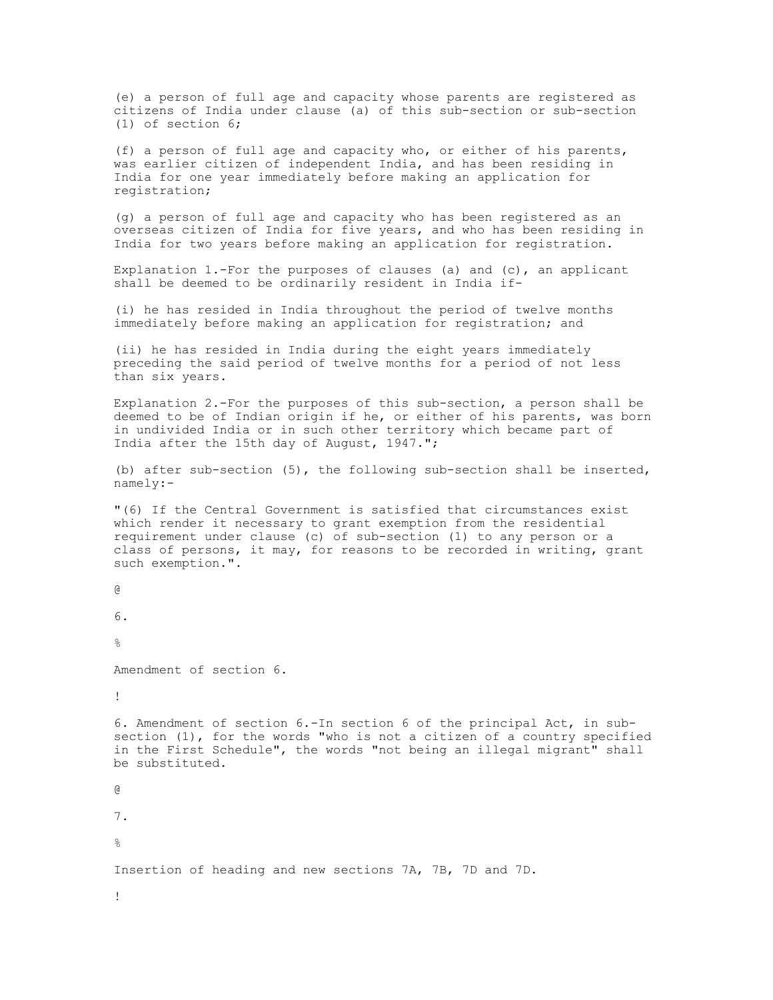(e) a person of full age and capacity whose parents are registered as citizens of India under clause (a) of this sub-section or sub-section (1) of section 6;

(f) a person of full age and capacity who, or either of his parents, was earlier citizen of independent India, and has been residing in India for one year immediately before making an application for registration;

(g) a person of full age and capacity who has been registered as an overseas citizen of India for five years, and who has been residing in India for two years before making an application for registration.

Explanation 1.-For the purposes of clauses (a) and (c), an applicant shall be deemed to be ordinarily resident in India if-

(i) he has resided in India throughout the period of twelve months immediately before making an application for registration; and

(ii) he has resided in India during the eight years immediately preceding the said period of twelve months for a period of not less than six years.

Explanation 2.-For the purposes of this sub-section, a person shall be deemed to be of Indian origin if he, or either of his parents, was born in undivided India or in such other territory which became part of India after the 15th day of August, 1947.";

(b) after sub-section (5), the following sub-section shall be inserted, namely:-

"(6) If the Central Government is satisfied that circumstances exist which render it necessary to grant exemption from the residential requirement under clause (c) of sub-section (1) to any person or a class of persons, it may, for reasons to be recorded in writing, grant such exemption.".

```
@
6.
\approxAmendment of section 6.
!
6. Amendment of section 6.-In section 6 of the principal Act, in sub-
section (1), for the words "who is not a citizen of a country specified
in the First Schedule", the words "not being an illegal migrant" shall
be substituted.
@
7.
%
Insertion of heading and new sections 7A, 7B, 7D and 7D.
!
```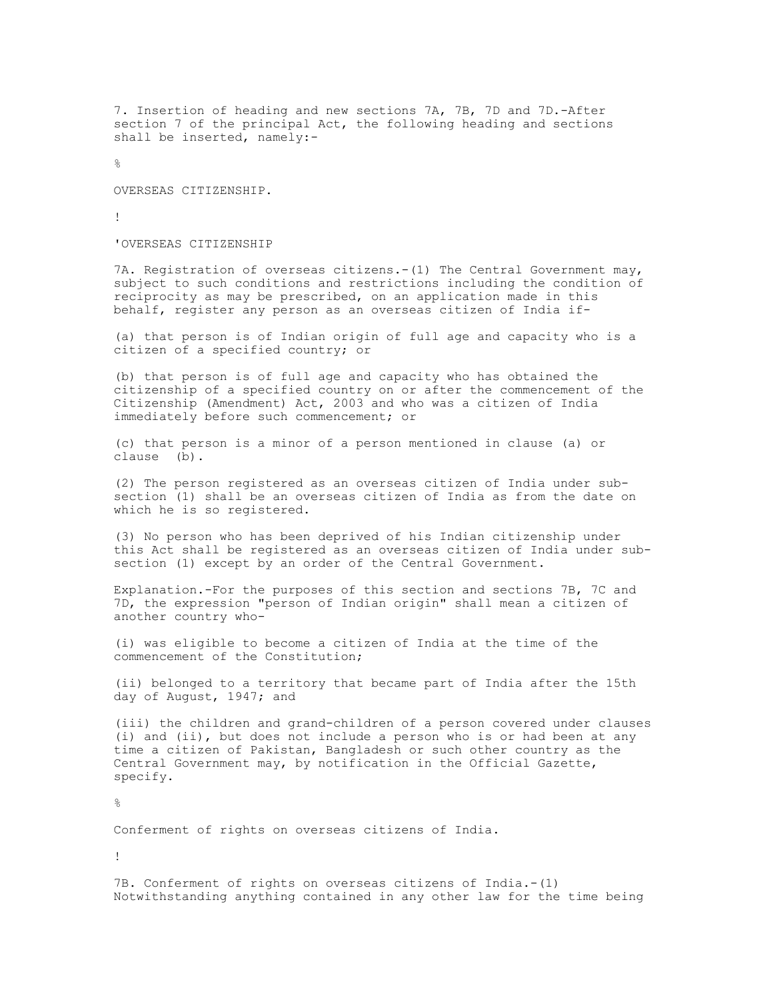7. Insertion of heading and new sections 7A, 7B, 7D and 7D.-After section 7 of the principal Act, the following heading and sections shall be inserted, namely:-

 $\approx$ 

OVERSEAS CITIZENSHIP.

!

'OVERSEAS CITIZENSHIP

7A. Registration of overseas citizens.-(1) The Central Government may, subject to such conditions and restrictions including the condition of reciprocity as may be prescribed, on an application made in this behalf, register any person as an overseas citizen of India if-

(a) that person is of Indian origin of full age and capacity who is a citizen of a specified country; or

(b) that person is of full age and capacity who has obtained the citizenship of a specified country on or after the commencement of the Citizenship (Amendment) Act, 2003 and who was a citizen of India immediately before such commencement; or

(c) that person is a minor of a person mentioned in clause (a) or clause (b).

(2) The person registered as an overseas citizen of India under subsection (1) shall be an overseas citizen of India as from the date on which he is so registered.

(3) No person who has been deprived of his Indian citizenship under this Act shall be registered as an overseas citizen of India under subsection (1) except by an order of the Central Government.

Explanation.-For the purposes of this section and sections 7B, 7C and 7D, the expression "person of Indian origin" shall mean a citizen of another country who-

(i) was eligible to become a citizen of India at the time of the commencement of the Constitution;

(ii) belonged to a territory that became part of India after the 15th day of August, 1947; and

(iii) the children and grand-children of a person covered under clauses (i) and (ii), but does not include a person who is or had been at any time a citizen of Pakistan, Bangladesh or such other country as the Central Government may, by notification in the Official Gazette, specify.

 $\approx$ 

Conferment of rights on overseas citizens of India.

!

7B. Conferment of rights on overseas citizens of India.-(1) Notwithstanding anything contained in any other law for the time being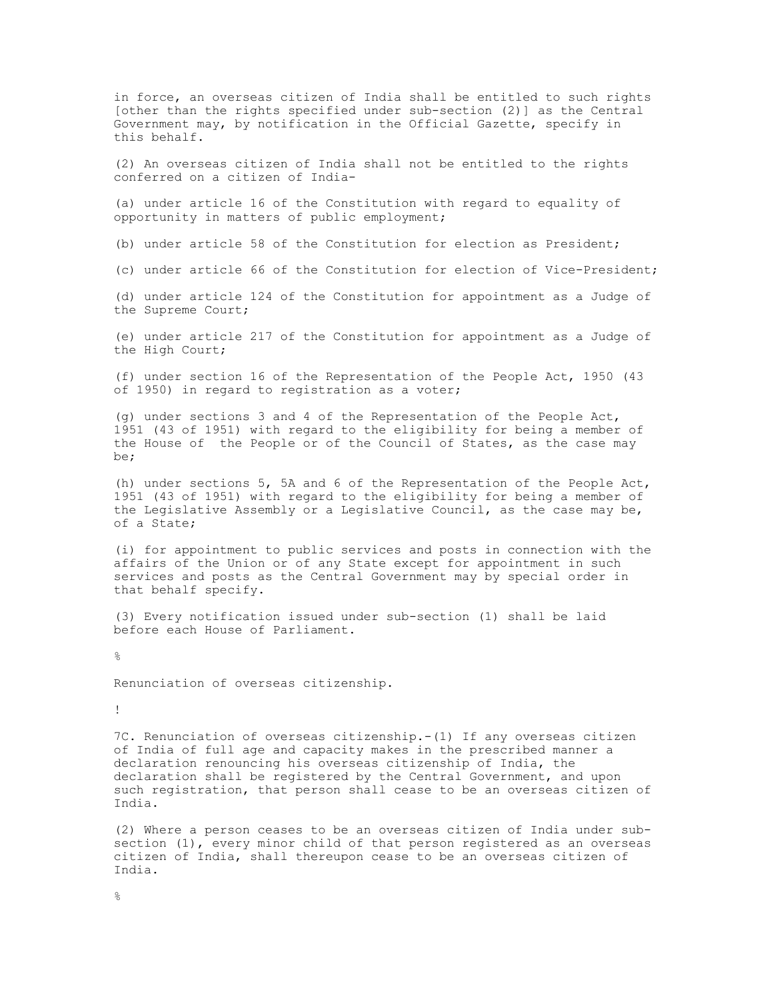in force, an overseas citizen of India shall be entitled to such rights [other than the rights specified under sub-section (2)] as the Central Government may, by notification in the Official Gazette, specify in this behalf.

(2) An overseas citizen of India shall not be entitled to the rights conferred on a citizen of India-

(a) under article 16 of the Constitution with regard to equality of opportunity in matters of public employment;

(b) under article 58 of the Constitution for election as President;

(c) under article 66 of the Constitution for election of Vice-President;

(d) under article 124 of the Constitution for appointment as a Judge of the Supreme Court;

(e) under article 217 of the Constitution for appointment as a Judge of the High Court;

(f) under section 16 of the Representation of the People Act, 1950 (43 of 1950) in regard to registration as a voter;

(g) under sections 3 and 4 of the Representation of the People Act, 1951 (43 of 1951) with regard to the eligibility for being a member of the House of the People or of the Council of States, as the case may be;

(h) under sections 5, 5A and 6 of the Representation of the People Act, 1951 (43 of 1951) with regard to the eligibility for being a member of the Legislative Assembly or a Legislative Council, as the case may be, of a State;

(i) for appointment to public services and posts in connection with the affairs of the Union or of any State except for appointment in such services and posts as the Central Government may by special order in that behalf specify.

(3) Every notification issued under sub-section (1) shall be laid before each House of Parliament.

%

Renunciation of overseas citizenship.

!

7C. Renunciation of overseas citizenship.-(1) If any overseas citizen of India of full age and capacity makes in the prescribed manner a declaration renouncing his overseas citizenship of India, the declaration shall be registered by the Central Government, and upon such registration, that person shall cease to be an overseas citizen of India.

(2) Where a person ceases to be an overseas citizen of India under subsection (1), every minor child of that person registered as an overseas citizen of India, shall thereupon cease to be an overseas citizen of India.

 $\mathsf{Q}$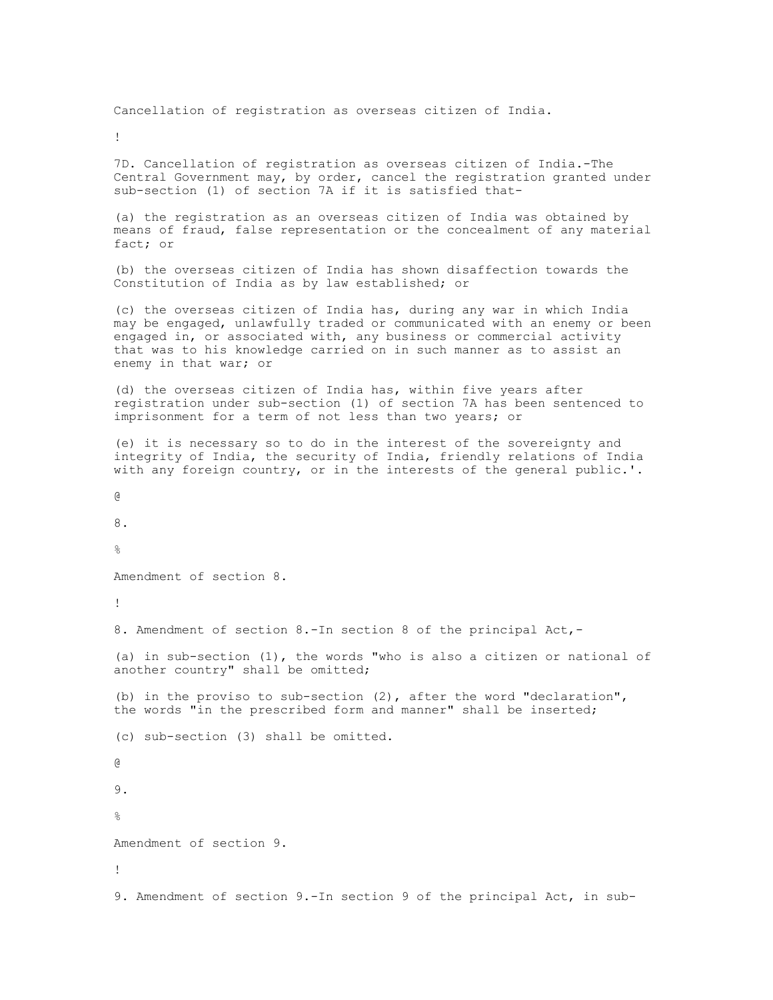Cancellation of registration as overseas citizen of India.

!

7D. Cancellation of registration as overseas citizen of India.-The Central Government may, by order, cancel the registration granted under sub-section (1) of section 7A if it is satisfied that-

(a) the registration as an overseas citizen of India was obtained by means of fraud, false representation or the concealment of any material fact; or

(b) the overseas citizen of India has shown disaffection towards the Constitution of India as by law established; or

(c) the overseas citizen of India has, during any war in which India may be engaged, unlawfully traded or communicated with an enemy or been engaged in, or associated with, any business or commercial activity that was to his knowledge carried on in such manner as to assist an enemy in that war; or

(d) the overseas citizen of India has, within five years after registration under sub-section (1) of section 7A has been sentenced to imprisonment for a term of not less than two years; or

(e) it is necessary so to do in the interest of the sovereignty and integrity of India, the security of India, friendly relations of India with any foreign country, or in the interests of the general public.'.

@

8.

 $\mathsf{Q}$ 

Amendment of section 8.

!

8. Amendment of section 8.-In section 8 of the principal Act,-

(a) in sub-section (1), the words "who is also a citizen or national of another country" shall be omitted;

(b) in the proviso to sub-section (2), after the word "declaration", the words "in the prescribed form and manner" shall be inserted;

(c) sub-section (3) shall be omitted.

@

9.  $\circ$ 

Amendment of section 9.

!

9. Amendment of section 9.-In section 9 of the principal Act, in sub-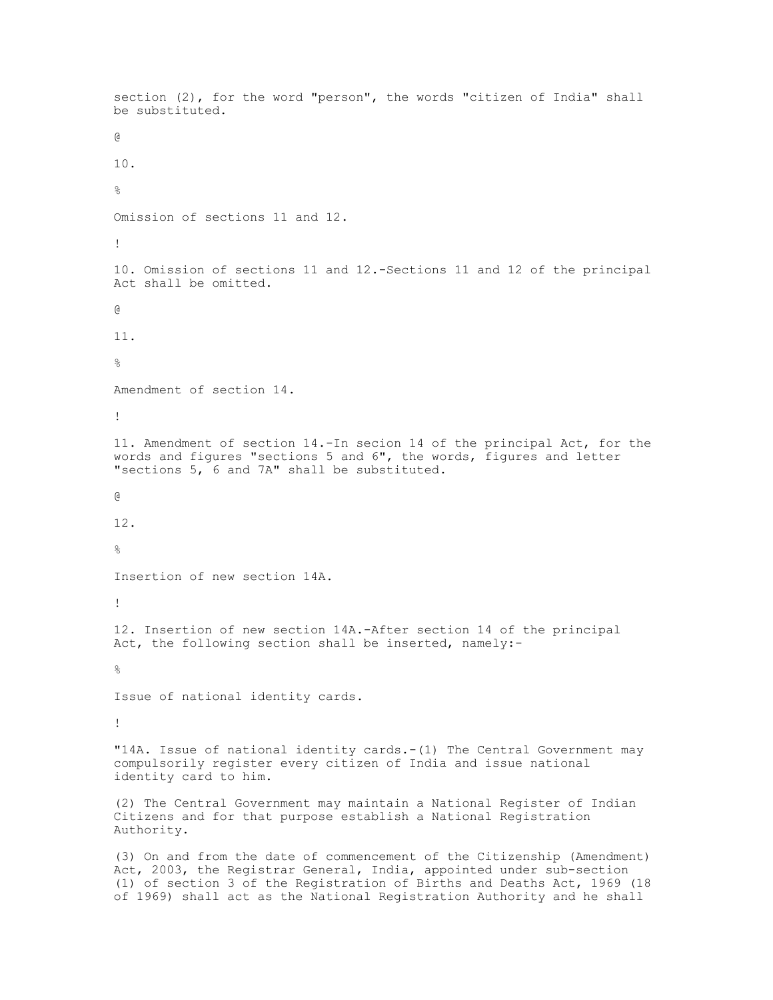```
section (2), for the word "person", the words "citizen of India" shall
be substituted.
@
10.
\approxOmission of sections 11 and 12.
!
10. Omission of sections 11 and 12.-Sections 11 and 12 of the principal
Act shall be omitted.
@
11.
\approxAmendment of section 14.
!
11. Amendment of section 14.-In secion 14 of the principal Act, for the
words and figures "sections 5 and 6", the words, figures and letter
"sections 5, 6 and 7A" shall be substituted.
@
12.
\mathsf{Q}Insertion of new section 14A.
!
12. Insertion of new section 14A.-After section 14 of the principal
Act, the following section shall be inserted, namely:-
\approxIssue of national identity cards.
!
"14A. Issue of national identity cards.-(1) The Central Government may
compulsorily register every citizen of India and issue national
identity card to him.
(2) The Central Government may maintain a National Register of Indian
Citizens and for that purpose establish a National Registration
Authority.
(3) On and from the date of commencement of the Citizenship (Amendment)
Act, 2003, the Registrar General, India, appointed under sub-section
(1) of section 3 of the Registration of Births and Deaths Act, 1969 (18
```
of 1969) shall act as the National Registration Authority and he shall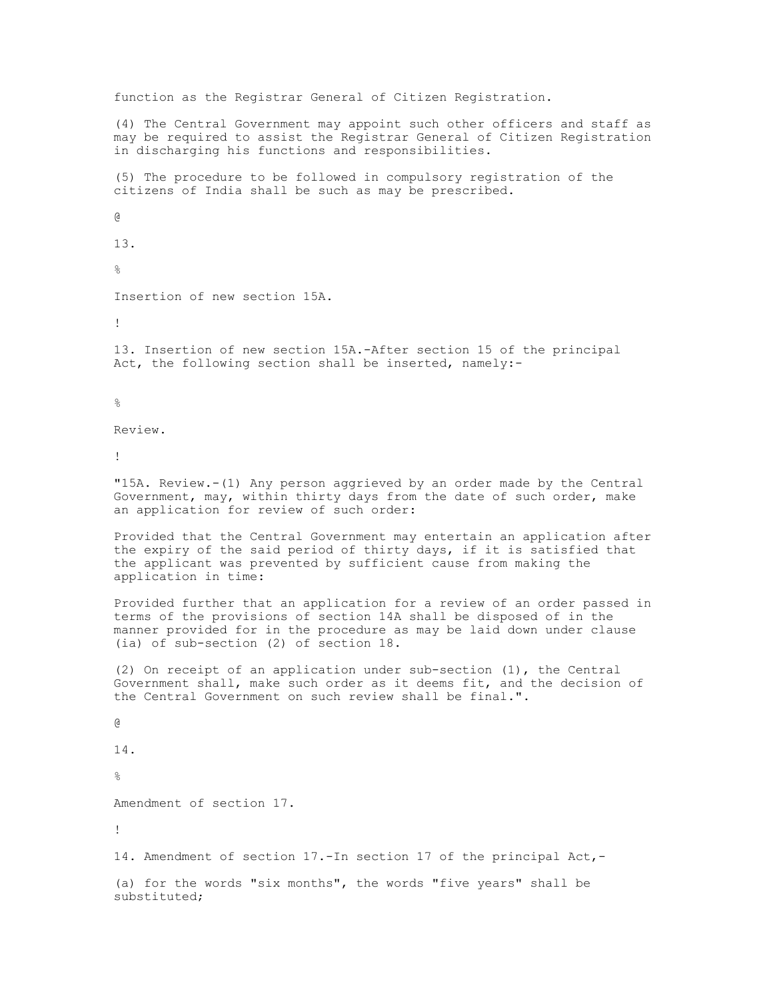function as the Registrar General of Citizen Registration. (4) The Central Government may appoint such other officers and staff as may be required to assist the Registrar General of Citizen Registration in discharging his functions and responsibilities. (5) The procedure to be followed in compulsory registration of the citizens of India shall be such as may be prescribed. @ 13.  $\mathfrak{D}$ Insertion of new section 15A. ! 13. Insertion of new section 15A.-After section 15 of the principal Act, the following section shall be inserted, namely:-  $\frac{6}{\sqrt{2}}$ Review. ! "15A. Review.-(1) Any person aggrieved by an order made by the Central Government, may, within thirty days from the date of such order, make an application for review of such order: Provided that the Central Government may entertain an application after the expiry of the said period of thirty days, if it is satisfied that the applicant was prevented by sufficient cause from making the application in time: Provided further that an application for a review of an order passed in terms of the provisions of section 14A shall be disposed of in the manner provided for in the procedure as may be laid down under clause (ia) of sub-section (2) of section 18. (2) On receipt of an application under sub-section (1), the Central Government shall, make such order as it deems fit, and the decision of the Central Government on such review shall be final.". @ 14.  $\approx$ Amendment of section 17. ! 14. Amendment of section 17.-In section 17 of the principal Act,-

(a) for the words "six months", the words "five years" shall be substituted;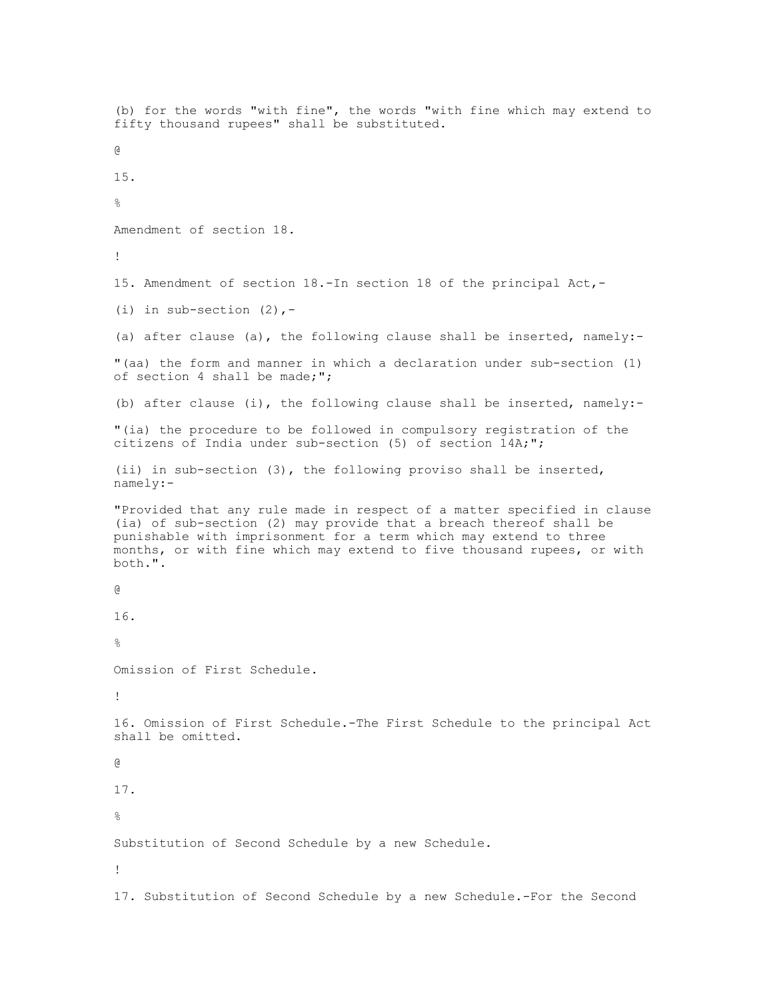(b) for the words "with fine", the words "with fine which may extend to fifty thousand rupees" shall be substituted. @ 15.  $\approx$ Amendment of section 18. ! 15. Amendment of section 18.-In section 18 of the principal Act,- (i) in sub-section  $(2)$ , -(a) after clause (a), the following clause shall be inserted, namely:- "(aa) the form and manner in which a declaration under sub-section (1) of section 4 shall be made;"; (b) after clause (i), the following clause shall be inserted, namely:- "(ia) the procedure to be followed in compulsory registration of the citizens of India under sub-section (5) of section 14A;"; (ii) in sub-section (3), the following proviso shall be inserted, namely:- "Provided that any rule made in respect of a matter specified in clause (ia) of sub-section (2) may provide that a breach thereof shall be punishable with imprisonment for a term which may extend to three months, or with fine which may extend to five thousand rupees, or with both.". @ 16.  $\approx$ Omission of First Schedule. ! 16. Omission of First Schedule.-The First Schedule to the principal Act shall be omitted. @ 17.  $\approx$ Substitution of Second Schedule by a new Schedule. ! 17. Substitution of Second Schedule by a new Schedule.-For the Second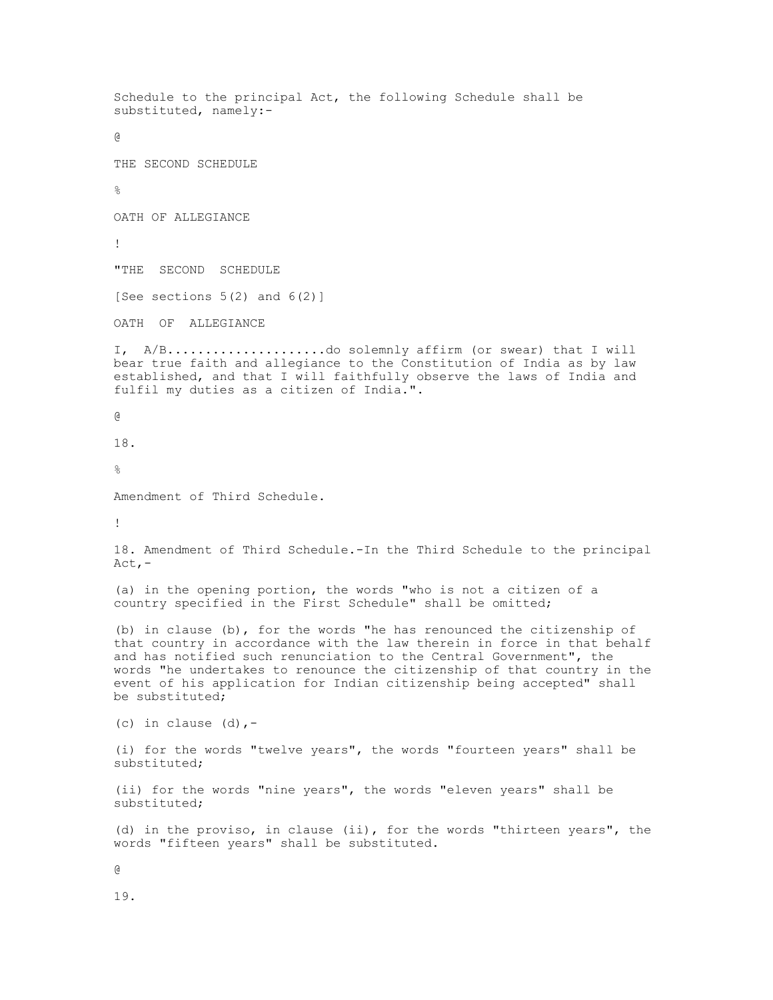Schedule to the principal Act, the following Schedule shall be substituted, namely:- @ THE SECOND SCHEDULE  $\approx$ OATH OF ALLEGIANCE ! "THE SECOND SCHEDULE [See sections  $5(2)$  and  $6(2)$ ] OATH OF ALLEGIANCE I, A/B.....................do solemnly affirm (or swear) that I will bear true faith and allegiance to the Constitution of India as by law established, and that I will faithfully observe the laws of India and fulfil my duties as a citizen of India.". @ 18.  $\mathsf{Q}$ Amendment of Third Schedule. ! 18. Amendment of Third Schedule.-In the Third Schedule to the principal Act,- (a) in the opening portion, the words "who is not a citizen of a country specified in the First Schedule" shall be omitted; (b) in clause (b), for the words "he has renounced the citizenship of that country in accordance with the law therein in force in that behalf and has notified such renunciation to the Central Government", the words "he undertakes to renounce the citizenship of that country in the event of his application for Indian citizenship being accepted" shall be substituted; (c) in clause  $(d)$ ,-(i) for the words "twelve years", the words "fourteen years" shall be substituted; (ii) for the words "nine years", the words "eleven years" shall be substituted; (d) in the proviso, in clause (ii), for the words "thirteen years", the words "fifteen years" shall be substituted. @ 19.